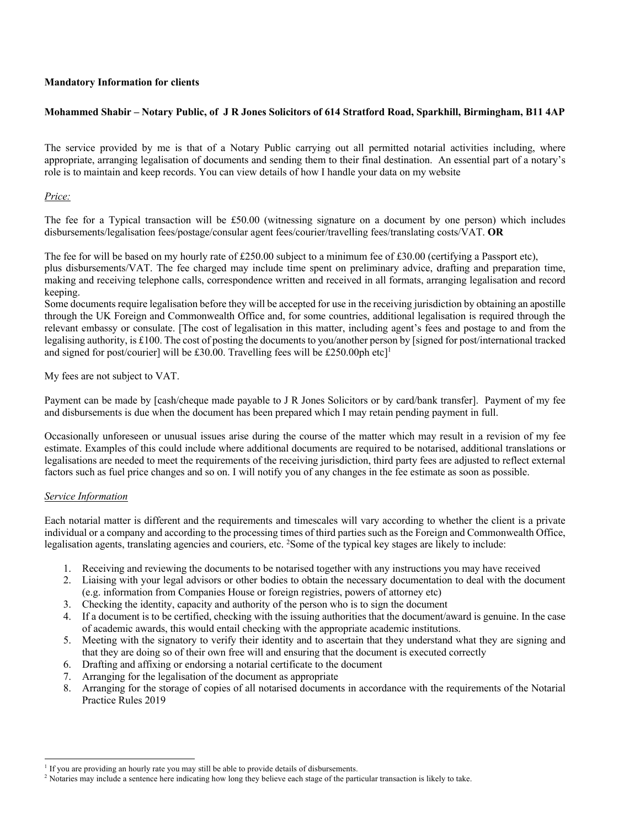### **Mandatory Information for clients**

## **Mohammed Shabir – Notary Public, of J R Jones Solicitors of 614 Stratford Road, Sparkhill, Birmingham, B11 4AP**

The service provided by me is that of a Notary Public carrying out all permitted notarial activities including, where appropriate, arranging legalisation of documents and sending them to their final destination. An essential part of a notary's role is to maintain and keep records. You can view details of how I handle your data on my website

### *Price:*

The fee for a Typical transaction will be £50.00 (witnessing signature on a document by one person) which includes disbursements/legalisation fees/postage/consular agent fees/courier/travelling fees/translating costs/VAT. **OR**

The fee for will be based on my hourly rate of £250.00 subject to a minimum fee of £30.00 (certifying a Passport etc), plus disbursements/VAT. The fee charged may include time spent on preliminary advice, drafting and preparation time, making and receiving telephone calls, correspondence written and received in all formats, arranging legalisation and record keeping.

Some documents require legalisation before they will be accepted for use in the receiving jurisdiction by obtaining an apostille through the UK Foreign and Commonwealth Office and, for some countries, additional legalisation is required through the relevant embassy or consulate. [The cost of legalisation in this matter, including agent's fees and postage to and from the legalising authority, is £100. The cost of posting the documents to you/another person by [signed for post/international tracked and signed for post/courier] will be £30.00. Travelling fees will be £250.00ph etc]<sup>1</sup>

My fees are not subject to VAT.

Payment can be made by [cash/cheque made payable to J R Jones Solicitors or by card/bank transfer]. Payment of my fee and disbursements is due when the document has been prepared which I may retain pending payment in full.

Occasionally unforeseen or unusual issues arise during the course of the matter which may result in a revision of my fee estimate. Examples of this could include where additional documents are required to be notarised, additional translations or legalisations are needed to meet the requirements of the receiving jurisdiction, third party fees are adjusted to reflect external factors such as fuel price changes and so on. I will notify you of any changes in the fee estimate as soon as possible.

#### *Service Information*

Each notarial matter is different and the requirements and timescales will vary according to whether the client is a private individual or a company and according to the processing times of third parties such as the Foreign and Commonwealth Office, legalisation agents, translating agencies and couriers, etc. <sup>2</sup>Some of the typical key stages are likely to include:

- 1. Receiving and reviewing the documents to be notarised together with any instructions you may have received
- 2. Liaising with your legal advisors or other bodies to obtain the necessary documentation to deal with the document (e.g. information from Companies House or foreign registries, powers of attorney etc)
- 3. Checking the identity, capacity and authority of the person who is to sign the document
- 4. If a document is to be certified, checking with the issuing authorities that the document/award is genuine. In the case of academic awards, this would entail checking with the appropriate academic institutions.
- 5. Meeting with the signatory to verify their identity and to ascertain that they understand what they are signing and that they are doing so of their own free will and ensuring that the document is executed correctly
- 6. Drafting and affixing or endorsing a notarial certificate to the document
- 7. Arranging for the legalisation of the document as appropriate
- 8. Arranging for the storage of copies of all notarised documents in accordance with the requirements of the Notarial Practice Rules 2019

If you are providing an hourly rate you may still be able to provide details of disbursements.

<sup>&</sup>lt;sup>2</sup> Notaries may include a sentence here indicating how long they believe each stage of the particular transaction is likely to take.